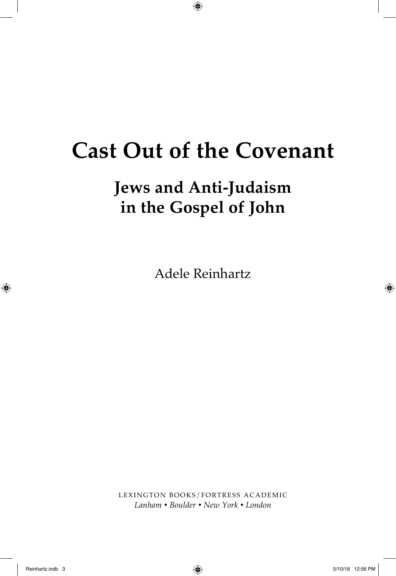# **Cast Out of the Covenant**

 $\bigoplus$ 

# **Jews and Anti-Judaism in the Gospel of John**

Adele Reinhartz

LEXINGTON BOOKS/FORTRESS ACADEMIC *Lanham • Boulder • New York • London*

⊕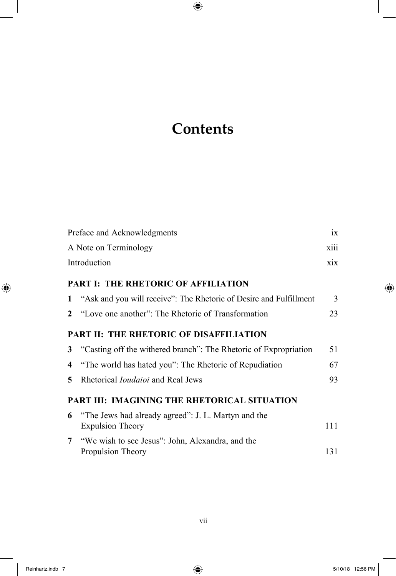# **Contents**

 $\bigoplus$ 

|                                              | Preface and Acknowledgments                                                    |     |  |  |
|----------------------------------------------|--------------------------------------------------------------------------------|-----|--|--|
|                                              | A Note on Terminology                                                          |     |  |  |
|                                              | Introduction                                                                   |     |  |  |
|                                              | <b>PART I: THE RHETORIC OF AFFILIATION</b>                                     |     |  |  |
| 1                                            | "Ask and you will receive": The Rhetoric of Desire and Fulfillment             | 3   |  |  |
|                                              | 2 "Love one another": The Rhetoric of Transformation                           | 23  |  |  |
|                                              | <b>PART II: THE RHETORIC OF DISAFFILIATION</b>                                 |     |  |  |
|                                              | 3 "Casting off the withered branch": The Rhetoric of Expropriation             | 51  |  |  |
| 4                                            | "The world has hated you": The Rhetoric of Repudiation                         | 67  |  |  |
| 5.                                           | Rhetorical <i>Ioudaioi</i> and Real Jews                                       | 93  |  |  |
| PART III: IMAGINING THE RHETORICAL SITUATION |                                                                                |     |  |  |
| 6                                            | "The Jews had already agreed": J. L. Martyn and the<br><b>Expulsion Theory</b> | 111 |  |  |
|                                              | 7 "We wish to see Jesus": John, Alexandra, and the<br>Propulsion Theory        | 131 |  |  |

 $\overline{\phantom{a}}$ 

 $\bigoplus$ 

 $\bigoplus$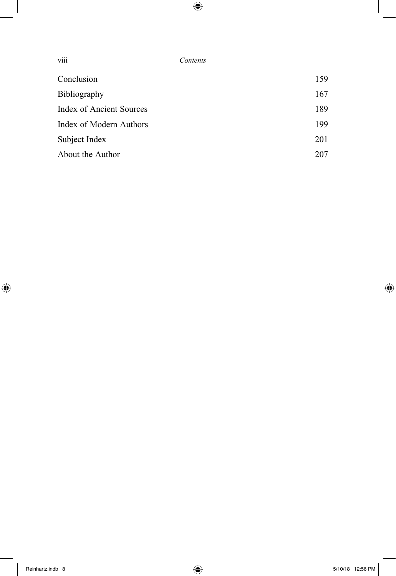| viii                     | Contents |     |
|--------------------------|----------|-----|
| Conclusion               |          | 159 |
| Bibliography             |          | 167 |
| Index of Ancient Sources |          | 189 |
| Index of Modern Authors  |          | 199 |
| Subject Index            |          | 201 |
| About the Author         |          | 207 |

 $\bigoplus$ 

 $\overline{\phantom{a}}$ 

 $\bigoplus$ 

I

 $\bigoplus$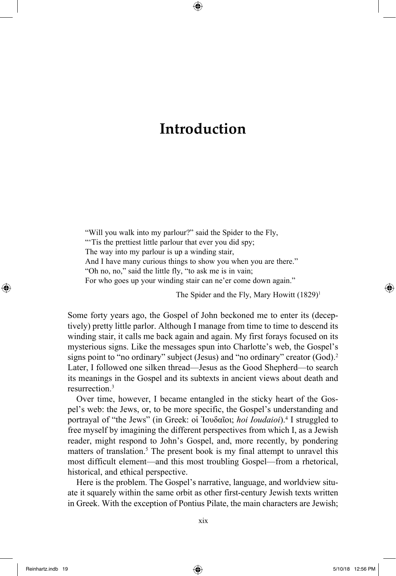# ⊕

# **Introduction**

"Will you walk into my parlour?" said the Spider to the Fly, "Tis the prettiest little parlour that ever you did spy; The way into my parlour is up a winding stair, And I have many curious things to show you when you are there." "Oh no, no," said the little fly, "to ask me is in vain; For who goes up your winding stair can ne'er come down again."

The Spider and the Fly, Mary Howitt (1829)<sup>1</sup>

Some forty years ago, the Gospel of John beckoned me to enter its (deceptively) pretty little parlor. Although I manage from time to time to descend its winding stair, it calls me back again and again. My first forays focused on its mysterious signs. Like the messages spun into Charlotte's web, the Gospel's signs point to "no ordinary" subject (Jesus) and "no ordinary" creator (God).<sup>2</sup> Later, I followed one silken thread—Jesus as the Good Shepherd—to search its meanings in the Gospel and its subtexts in ancient views about death and resurrection<sup>3</sup>

Over time, however, I became entangled in the sticky heart of the Gospel's web: the Jews, or, to be more specific, the Gospel's understanding and portrayal of "the Jews" (in Greek: οἱ Ἰουδαῖοι; *hoi Ioudaioi*).4 I struggled to free myself by imagining the different perspectives from which I, as a Jewish reader, might respond to John's Gospel, and, more recently, by pondering matters of translation.<sup>5</sup> The present book is my final attempt to unravel this most difficult element—and this most troubling Gospel—from a rhetorical, historical, and ethical perspective.

Here is the problem. The Gospel's narrative, language, and worldview situate it squarely within the same orbit as other first-century Jewish texts written in Greek. With the exception of Pontius Pilate, the main characters are Jewish;

⊕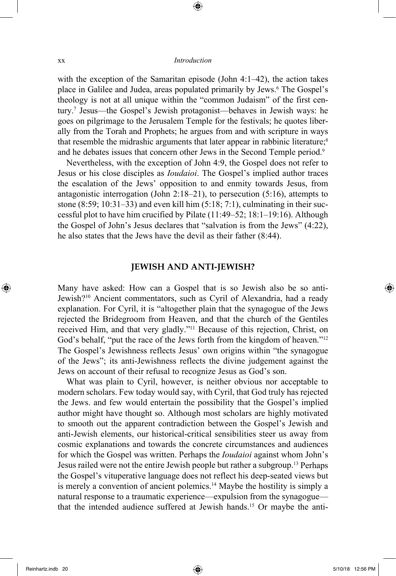#### xx *Introduction*

⊕

with the exception of the Samaritan episode (John  $4:1-42$ ), the action takes place in Galilee and Judea, areas populated primarily by Jews.<sup>6</sup> The Gospel's theology is not at all unique within the "common Judaism" of the first century.7 Jesus—the Gospel's Jewish protagonist—behaves in Jewish ways: he goes on pilgrimage to the Jerusalem Temple for the festivals; he quotes liberally from the Torah and Prophets; he argues from and with scripture in ways that resemble the midrashic arguments that later appear in rabbinic literature;<sup>8</sup> and he debates issues that concern other Jews in the Second Temple period.<sup>9</sup>

Nevertheless, with the exception of John 4:9, the Gospel does not refer to Jesus or his close disciples as *Ioudaioi*. The Gospel's implied author traces the escalation of the Jews' opposition to and enmity towards Jesus, from antagonistic interrogation (John 2:18–21), to persecution (5:16), attempts to stone  $(8:59; 10:31-33)$  and even kill him  $(5:18; 7:1)$ , culminating in their successful plot to have him crucified by Pilate (11:49–52; 18:1–19:16). Although the Gospel of John's Jesus declares that "salvation is from the Jews" (4:22), he also states that the Jews have the devil as their father (8:44).

# **JEWISH AND ANTI-JEWISH?**

Many have asked: How can a Gospel that is so Jewish also be so anti-Jewish?10 Ancient commentators, such as Cyril of Alexandria, had a ready explanation. For Cyril, it is "altogether plain that the synagogue of the Jews rejected the Bridegroom from Heaven, and that the church of the Gentiles received Him, and that very gladly."11 Because of this rejection, Christ, on God's behalf, "put the race of the Jews forth from the kingdom of heaven."<sup>12</sup> The Gospel's Jewishness reflects Jesus' own origins within "the synagogue of the Jews"; its anti-Jewishness reflects the divine judgement against the Jews on account of their refusal to recognize Jesus as God's son.

What was plain to Cyril, however, is neither obvious nor acceptable to modern scholars. Few today would say, with Cyril, that God truly has rejected the Jews. and few would entertain the possibility that the Gospel's implied author might have thought so. Although most scholars are highly motivated to smooth out the apparent contradiction between the Gospel's Jewish and anti-Jewish elements, our historical-critical sensibilities steer us away from cosmic explanations and towards the concrete circumstances and audiences for which the Gospel was written. Perhaps the *Ioudaioi* against whom John's Jesus railed were not the entire Jewish people but rather a subgroup.13 Perhaps the Gospel's vituperative language does not reflect his deep-seated views but is merely a convention of ancient polemics.14 Maybe the hostility is simply a natural response to a traumatic experience—expulsion from the synagogue that the intended audience suffered at Jewish hands.15 Or maybe the anti-

⊕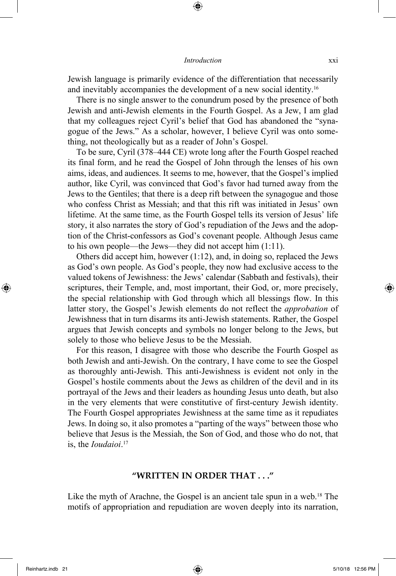#### *Introduction* xxi

⊕

Jewish language is primarily evidence of the differentiation that necessarily and inevitably accompanies the development of a new social identity.16

There is no single answer to the conundrum posed by the presence of both Jewish and anti-Jewish elements in the Fourth Gospel. As a Jew, I am glad that my colleagues reject Cyril's belief that God has abandoned the "synagogue of the Jews." As a scholar, however, I believe Cyril was onto something, not theologically but as a reader of John's Gospel.

To be sure, Cyril (378–444 CE) wrote long after the Fourth Gospel reached its final form, and he read the Gospel of John through the lenses of his own aims, ideas, and audiences. It seems to me, however, that the Gospel's implied author, like Cyril, was convinced that God's favor had turned away from the Jews to the Gentiles; that there is a deep rift between the synagogue and those who confess Christ as Messiah; and that this rift was initiated in Jesus' own lifetime. At the same time, as the Fourth Gospel tells its version of Jesus' life story, it also narrates the story of God's repudiation of the Jews and the adoption of the Christ-confessors as God's covenant people. Although Jesus came to his own people—the Jews—they did not accept him (1:11).

Others did accept him, however (1:12), and, in doing so, replaced the Jews as God's own people. As God's people, they now had exclusive access to the valued tokens of Jewishness: the Jews' calendar (Sabbath and festivals), their scriptures, their Temple, and, most important, their God, or, more precisely, the special relationship with God through which all blessings flow. In this latter story, the Gospel's Jewish elements do not reflect the *approbation* of Jewishness that in turn disarms its anti-Jewish statements. Rather, the Gospel argues that Jewish concepts and symbols no longer belong to the Jews, but solely to those who believe Jesus to be the Messiah.

For this reason, I disagree with those who describe the Fourth Gospel as both Jewish and anti-Jewish. On the contrary, I have come to see the Gospel as thoroughly anti-Jewish. This anti-Jewishness is evident not only in the Gospel's hostile comments about the Jews as children of the devil and in its portrayal of the Jews and their leaders as hounding Jesus unto death, but also in the very elements that were constitutive of first-century Jewish identity. The Fourth Gospel appropriates Jewishness at the same time as it repudiates Jews. In doing so, it also promotes a "parting of the ways" between those who believe that Jesus is the Messiah, the Son of God, and those who do not, that is, the *Ioudaioi*. 17

## **"WRITTEN IN ORDER THAT . . ."**

Like the myth of Arachne, the Gospel is an ancient tale spun in a web.<sup>18</sup> The motifs of appropriation and repudiation are woven deeply into its narration,

⊕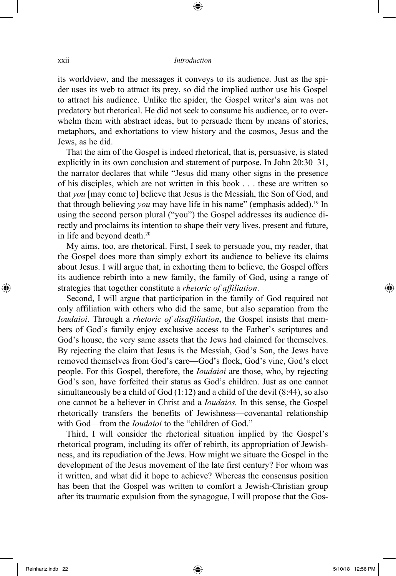### xxii *Introduction*

⊕

its worldview, and the messages it conveys to its audience. Just as the spider uses its web to attract its prey, so did the implied author use his Gospel to attract his audience. Unlike the spider, the Gospel writer's aim was not predatory but rhetorical. He did not seek to consume his audience, or to overwhelm them with abstract ideas, but to persuade them by means of stories, metaphors, and exhortations to view history and the cosmos, Jesus and the Jews, as he did.

That the aim of the Gospel is indeed rhetorical, that is, persuasive, is stated explicitly in its own conclusion and statement of purpose. In John 20:30–31, the narrator declares that while "Jesus did many other signs in the presence of his disciples, which are not written in this book . . . these are written so that *you* [may come to] believe that Jesus is the Messiah, the Son of God, and that through believing *you* may have life in his name" (emphasis added).19 In using the second person plural ("you") the Gospel addresses its audience directly and proclaims its intention to shape their very lives, present and future, in life and beyond death.20

My aims, too, are rhetorical. First, I seek to persuade you, my reader, that the Gospel does more than simply exhort its audience to believe its claims about Jesus. I will argue that, in exhorting them to believe, the Gospel offers its audience rebirth into a new family, the family of God, using a range of strategies that together constitute a *rhetoric of affiliation*.

Second, I will argue that participation in the family of God required not only affiliation with others who did the same, but also separation from the *Ioudaioi*. Through a *rhetoric of disaffiliation*, the Gospel insists that members of God's family enjoy exclusive access to the Father's scriptures and God's house, the very same assets that the Jews had claimed for themselves. By rejecting the claim that Jesus is the Messiah, God's Son, the Jews have removed themselves from God's care—God's flock, God's vine, God's elect people. For this Gospel, therefore, the *Ioudaioi* are those, who, by rejecting God's son, have forfeited their status as God's children. Just as one cannot simultaneously be a child of God  $(1:12)$  and a child of the devil  $(8:44)$ , so also one cannot be a believer in Christ and a *Ioudaios.* In this sense, the Gospel rhetorically transfers the benefits of Jewishness—covenantal relationship with God—from the *Ioudaioi* to the "children of God."

Third, I will consider the rhetorical situation implied by the Gospel's rhetorical program, including its offer of rebirth, its appropriation of Jewishness, and its repudiation of the Jews. How might we situate the Gospel in the development of the Jesus movement of the late first century? For whom was it written, and what did it hope to achieve? Whereas the consensus position has been that the Gospel was written to comfort a Jewish-Christian group after its traumatic expulsion from the synagogue, I will propose that the Gos-

⊕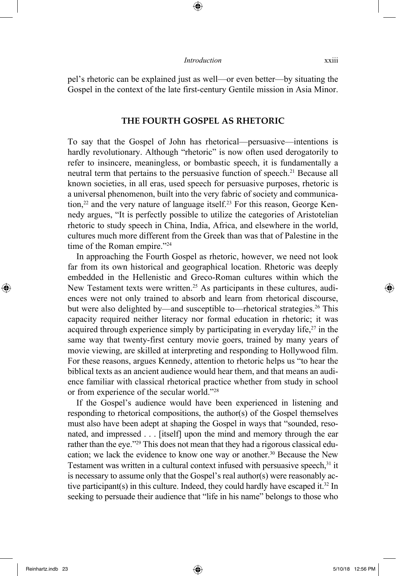#### *Introduction* xxiii

⊕

pel's rhetoric can be explained just as well—or even better—by situating the Gospel in the context of the late first-century Gentile mission in Asia Minor.

# **THE FOURTH GOSPEL AS RHETORIC**

To say that the Gospel of John has rhetorical—persuasive—intentions is hardly revolutionary. Although "rhetoric" is now often used derogatorily to refer to insincere, meaningless, or bombastic speech, it is fundamentally a neutral term that pertains to the persuasive function of speech.<sup>21</sup> Because all known societies, in all eras, used speech for persuasive purposes, rhetoric is a universal phenomenon, built into the very fabric of society and communication,<sup>22</sup> and the very nature of language itself.<sup>23</sup> For this reason, George Kennedy argues, "It is perfectly possible to utilize the categories of Aristotelian rhetoric to study speech in China, India, Africa, and elsewhere in the world, cultures much more different from the Greek than was that of Palestine in the time of the Roman empire."24

In approaching the Fourth Gospel as rhetoric, however, we need not look far from its own historical and geographical location. Rhetoric was deeply embedded in the Hellenistic and Greco-Roman cultures within which the New Testament texts were written.<sup>25</sup> As participants in these cultures, audiences were not only trained to absorb and learn from rhetorical discourse, but were also delighted by—and susceptible to—rhetorical strategies.<sup>26</sup> This capacity required neither literacy nor formal education in rhetoric; it was acquired through experience simply by participating in everyday life, $27$  in the same way that twenty-first century movie goers, trained by many years of movie viewing, are skilled at interpreting and responding to Hollywood film. For these reasons, argues Kennedy, attention to rhetoric helps us "to hear the biblical texts as an ancient audience would hear them, and that means an audience familiar with classical rhetorical practice whether from study in school or from experience of the secular world."28

If the Gospel's audience would have been experienced in listening and responding to rhetorical compositions, the author(s) of the Gospel themselves must also have been adept at shaping the Gospel in ways that "sounded, resonated, and impressed . . . [itself] upon the mind and memory through the ear rather than the eye."<sup>29</sup> This does not mean that they had a rigorous classical education; we lack the evidence to know one way or another.<sup>30</sup> Because the New Testament was written in a cultural context infused with persuasive speech,<sup>31</sup> it is necessary to assume only that the Gospel's real author(s) were reasonably active participant(s) in this culture. Indeed, they could hardly have escaped it.<sup>32</sup> In seeking to persuade their audience that "life in his name" belongs to those who

⊕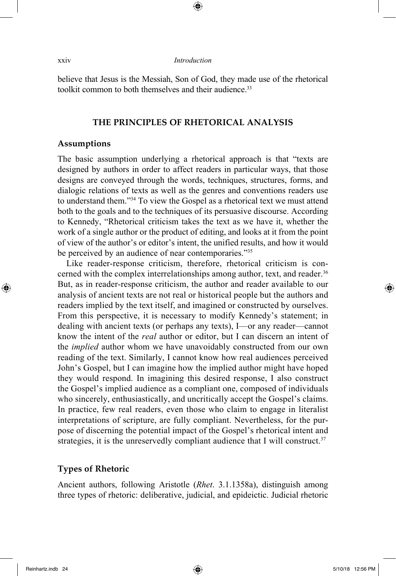#### xxiv *Introduction*

⊕

believe that Jesus is the Messiah, Son of God, they made use of the rhetorical toolkit common to both themselves and their audience.<sup>33</sup>

# **THE PRINCIPLES OF RHETORICAL ANALYSIS**

# **Assumptions**

The basic assumption underlying a rhetorical approach is that "texts are designed by authors in order to affect readers in particular ways, that those designs are conveyed through the words, techniques, structures, forms, and dialogic relations of texts as well as the genres and conventions readers use to understand them."34 To view the Gospel as a rhetorical text we must attend both to the goals and to the techniques of its persuasive discourse. According to Kennedy, "Rhetorical criticism takes the text as we have it, whether the work of a single author or the product of editing, and looks at it from the point of view of the author's or editor's intent, the unified results, and how it would be perceived by an audience of near contemporaries."<sup>35</sup>

Like reader-response criticism, therefore, rhetorical criticism is concerned with the complex interrelationships among author, text, and reader.<sup>36</sup> But, as in reader-response criticism, the author and reader available to our analysis of ancient texts are not real or historical people but the authors and readers implied by the text itself, and imagined or constructed by ourselves. From this perspective, it is necessary to modify Kennedy's statement; in dealing with ancient texts (or perhaps any texts), I—or any reader—cannot know the intent of the *real* author or editor, but I can discern an intent of the *implied* author whom we have unavoidably constructed from our own reading of the text. Similarly, I cannot know how real audiences perceived John's Gospel, but I can imagine how the implied author might have hoped they would respond. In imagining this desired response, I also construct the Gospel's implied audience as a compliant one, composed of individuals who sincerely, enthusiastically, and uncritically accept the Gospel's claims. In practice, few real readers, even those who claim to engage in literalist interpretations of scripture, are fully compliant. Nevertheless, for the purpose of discerning the potential impact of the Gospel's rhetorical intent and strategies, it is the unreservedly compliant audience that I will construct.<sup>37</sup>

# **Types of Rhetoric**

Ancient authors, following Aristotle (*Rhet*. 3.1.1358a), distinguish among three types of rhetoric: deliberative, judicial, and epideictic. Judicial rhetoric

⊕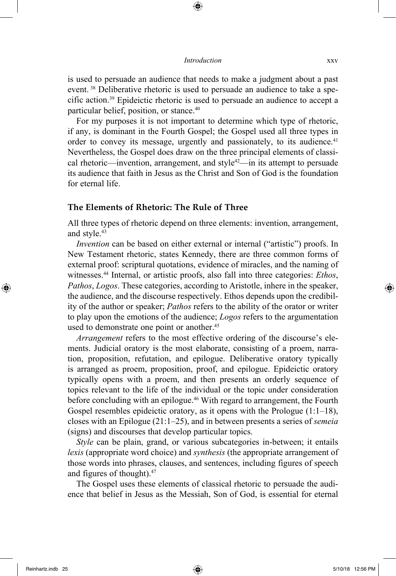### *Introduction* xxv

⊕

is used to persuade an audience that needs to make a judgment about a past event. 38 Deliberative rhetoric is used to persuade an audience to take a specific action.39 Epideictic rhetoric is used to persuade an audience to accept a particular belief, position, or stance.40

For my purposes it is not important to determine which type of rhetoric, if any, is dominant in the Fourth Gospel; the Gospel used all three types in order to convey its message, urgently and passionately, to its audience.<sup>41</sup> Nevertheless, the Gospel does draw on the three principal elements of classical rhetoric—invention, arrangement, and style $42$ —in its attempt to persuade its audience that faith in Jesus as the Christ and Son of God is the foundation for eternal life.

# **The Elements of Rhetoric: The Rule of Three**

All three types of rhetoric depend on three elements: invention, arrangement, and style.<sup>43</sup>

*Invention* can be based on either external or internal ("artistic") proofs. In New Testament rhetoric, states Kennedy, there are three common forms of external proof: scriptural quotations, evidence of miracles, and the naming of witnesses.44 Internal, or artistic proofs, also fall into three categories: *Ethos*, *Pathos*, *Logos*. These categories, according to Aristotle, inhere in the speaker, the audience, and the discourse respectively. Ethos depends upon the credibility of the author or speaker; *Pathos* refers to the ability of the orator or writer to play upon the emotions of the audience; *Logos* refers to the argumentation used to demonstrate one point or another.<sup>45</sup>

*Arrangement* refers to the most effective ordering of the discourse's elements. Judicial oratory is the most elaborate, consisting of a proem, narration, proposition, refutation, and epilogue. Deliberative oratory typically is arranged as proem, proposition, proof, and epilogue. Epideictic oratory typically opens with a proem, and then presents an orderly sequence of topics relevant to the life of the individual or the topic under consideration before concluding with an epilogue.<sup>46</sup> With regard to arrangement, the Fourth Gospel resembles epideictic oratory, as it opens with the Prologue (1:1–18), closes with an Epilogue (21:1–25), and in between presents a series of *semeia* (signs) and discourses that develop particular topics.

*Style* can be plain, grand, or various subcategories in-between; it entails *lexis* (appropriate word choice) and *synthesis* (the appropriate arrangement of those words into phrases, clauses, and sentences, including figures of speech and figures of thought).47

The Gospel uses these elements of classical rhetoric to persuade the audience that belief in Jesus as the Messiah, Son of God, is essential for eternal

⊕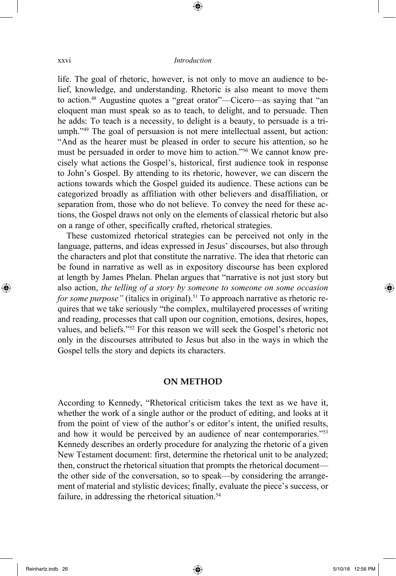#### xxvi *Introduction*

⊕

life. The goal of rhetoric, however, is not only to move an audience to belief, knowledge, and understanding. Rhetoric is also meant to move them to action.48 Augustine quotes a "great orator"—Cicero—as saying that "an eloquent man must speak so as to teach, to delight, and to persuade. Then he adds: To teach is a necessity, to delight is a beauty, to persuade is a triumph."<sup>49</sup> The goal of persuasion is not mere intellectual assent, but action: "And as the hearer must be pleased in order to secure his attention, so he must be persuaded in order to move him to action."50 We cannot know precisely what actions the Gospel's, historical, first audience took in response to John's Gospel. By attending to its rhetoric, however, we can discern the actions towards which the Gospel guided its audience. These actions can be categorized broadly as affiliation with other believers and disaffiliation, or separation from, those who do not believe. To convey the need for these actions, the Gospel draws not only on the elements of classical rhetoric but also on a range of other, specifically crafted, rhetorical strategies.

These customized rhetorical strategies can be perceived not only in the language, patterns, and ideas expressed in Jesus' discourses, but also through the characters and plot that constitute the narrative. The idea that rhetoric can be found in narrative as well as in expository discourse has been explored at length by James Phelan. Phelan argues that "narrative is not just story but also action, *the telling of a story by someone to someone on some occasion for some purpose"* (italics in original).<sup>51</sup> To approach narrative as rhetoric requires that we take seriously "the complex, multilayered processes of writing and reading, processes that call upon our cognition, emotions, desires, hopes, values, and beliefs."52 For this reason we will seek the Gospel's rhetoric not only in the discourses attributed to Jesus but also in the ways in which the Gospel tells the story and depicts its characters.

# **ON METHOD**

According to Kennedy, "Rhetorical criticism takes the text as we have it, whether the work of a single author or the product of editing, and looks at it from the point of view of the author's or editor's intent, the unified results, and how it would be perceived by an audience of near contemporaries."<sup>53</sup> Kennedy describes an orderly procedure for analyzing the rhetoric of a given New Testament document: first, determine the rhetorical unit to be analyzed; then, construct the rhetorical situation that prompts the rhetorical document the other side of the conversation, so to speak—by considering the arrangement of material and stylistic devices; finally, evaluate the piece's success, or failure, in addressing the rhetorical situation.<sup>54</sup>

⊕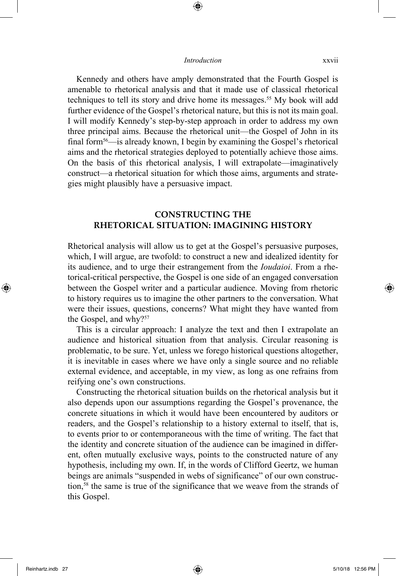### *Introduction* xxvii

⊕

Kennedy and others have amply demonstrated that the Fourth Gospel is amenable to rhetorical analysis and that it made use of classical rhetorical techniques to tell its story and drive home its messages.<sup>55</sup> My book will add further evidence of the Gospel's rhetorical nature, but this is not its main goal. I will modify Kennedy's step-by-step approach in order to address my own three principal aims. Because the rhetorical unit—the Gospel of John in its final form<sup>56</sup>—is already known, I begin by examining the Gospel's rhetorical aims and the rhetorical strategies deployed to potentially achieve those aims. On the basis of this rhetorical analysis, I will extrapolate—imaginatively construct—a rhetorical situation for which those aims, arguments and strategies might plausibly have a persuasive impact.

# **CONSTRUCTING THE RHETORICAL SITUATION: IMAGINING HISTORY**

Rhetorical analysis will allow us to get at the Gospel's persuasive purposes, which, I will argue, are twofold: to construct a new and idealized identity for its audience, and to urge their estrangement from the *Ioudaioi*. From a rhetorical-critical perspective, the Gospel is one side of an engaged conversation between the Gospel writer and a particular audience. Moving from rhetoric to history requires us to imagine the other partners to the conversation. What were their issues, questions, concerns? What might they have wanted from the Gospel, and why?<sup>57</sup>

This is a circular approach: I analyze the text and then I extrapolate an audience and historical situation from that analysis. Circular reasoning is problematic, to be sure. Yet, unless we forego historical questions altogether, it is inevitable in cases where we have only a single source and no reliable external evidence, and acceptable, in my view, as long as one refrains from reifying one's own constructions.

Constructing the rhetorical situation builds on the rhetorical analysis but it also depends upon our assumptions regarding the Gospel's provenance, the concrete situations in which it would have been encountered by auditors or readers, and the Gospel's relationship to a history external to itself, that is, to events prior to or contemporaneous with the time of writing. The fact that the identity and concrete situation of the audience can be imagined in different, often mutually exclusive ways, points to the constructed nature of any hypothesis, including my own. If, in the words of Clifford Geertz, we human beings are animals "suspended in webs of significance" of our own construction,58 the same is true of the significance that we weave from the strands of this Gospel.

⊕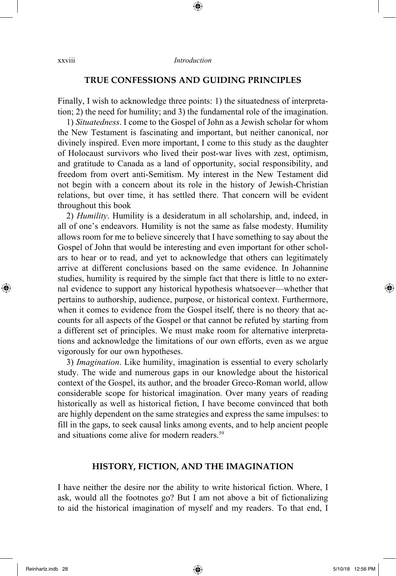⊕

# **TRUE CONFESSIONS AND GUIDING PRINCIPLES**

Finally, I wish to acknowledge three points: 1) the situatedness of interpretation; 2) the need for humility; and 3) the fundamental role of the imagination.

1) *Situatedness*. I come to the Gospel of John as a Jewish scholar for whom the New Testament is fascinating and important, but neither canonical, nor divinely inspired. Even more important, I come to this study as the daughter of Holocaust survivors who lived their post-war lives with zest, optimism, and gratitude to Canada as a land of opportunity, social responsibility, and freedom from overt anti-Semitism. My interest in the New Testament did not begin with a concern about its role in the history of Jewish-Christian relations, but over time, it has settled there. That concern will be evident throughout this book

2) *Humility*. Humility is a desideratum in all scholarship, and, indeed, in all of one's endeavors. Humility is not the same as false modesty. Humility allows room for me to believe sincerely that I have something to say about the Gospel of John that would be interesting and even important for other scholars to hear or to read, and yet to acknowledge that others can legitimately arrive at different conclusions based on the same evidence. In Johannine studies, humility is required by the simple fact that there is little to no external evidence to support any historical hypothesis whatsoever—whether that pertains to authorship, audience, purpose, or historical context. Furthermore, when it comes to evidence from the Gospel itself, there is no theory that accounts for all aspects of the Gospel or that cannot be refuted by starting from a different set of principles. We must make room for alternative interpretations and acknowledge the limitations of our own efforts, even as we argue vigorously for our own hypotheses.

3) *Imagination*. Like humility, imagination is essential to every scholarly study. The wide and numerous gaps in our knowledge about the historical context of the Gospel, its author, and the broader Greco-Roman world, allow considerable scope for historical imagination. Over many years of reading historically as well as historical fiction, I have become convinced that both are highly dependent on the same strategies and express the same impulses: to fill in the gaps, to seek causal links among events, and to help ancient people and situations come alive for modern readers.59

# **HISTORY, FICTION, AND THE IMAGINATION**

I have neither the desire nor the ability to write historical fiction. Where, I ask, would all the footnotes go? But I am not above a bit of fictionalizing to aid the historical imagination of myself and my readers. To that end, I

⊕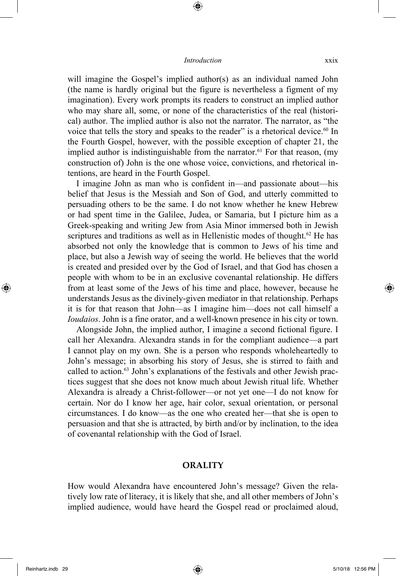### *Introduction* xxix

⊕

will imagine the Gospel's implied author(s) as an individual named John (the name is hardly original but the figure is nevertheless a figment of my imagination). Every work prompts its readers to construct an implied author who may share all, some, or none of the characteristics of the real (historical) author. The implied author is also not the narrator. The narrator, as "the voice that tells the story and speaks to the reader" is a rhetorical device.<sup>60</sup> In the Fourth Gospel, however, with the possible exception of chapter 21, the implied author is indistinguishable from the narrator.<sup>61</sup> For that reason, (my construction of) John is the one whose voice, convictions, and rhetorical intentions, are heard in the Fourth Gospel.

I imagine John as man who is confident in—and passionate about—his belief that Jesus is the Messiah and Son of God, and utterly committed to persuading others to be the same. I do not know whether he knew Hebrew or had spent time in the Galilee, Judea, or Samaria, but I picture him as a Greek-speaking and writing Jew from Asia Minor immersed both in Jewish scriptures and traditions as well as in Hellenistic modes of thought.<sup>62</sup> He has absorbed not only the knowledge that is common to Jews of his time and place, but also a Jewish way of seeing the world. He believes that the world is created and presided over by the God of Israel, and that God has chosen a people with whom to be in an exclusive covenantal relationship. He differs from at least some of the Jews of his time and place, however, because he understands Jesus as the divinely-given mediator in that relationship. Perhaps it is for that reason that John—as I imagine him—does not call himself a *Ioudaios*. John is a fine orator, and a well-known presence in his city or town.

Alongside John, the implied author, I imagine a second fictional figure. I call her Alexandra. Alexandra stands in for the compliant audience—a part I cannot play on my own. She is a person who responds wholeheartedly to John's message; in absorbing his story of Jesus, she is stirred to faith and called to action.63 John's explanations of the festivals and other Jewish practices suggest that she does not know much about Jewish ritual life. Whether Alexandra is already a Christ-follower—or not yet one—I do not know for certain. Nor do I know her age, hair color, sexual orientation, or personal circumstances. I do know—as the one who created her—that she is open to persuasion and that she is attracted, by birth and/or by inclination, to the idea of covenantal relationship with the God of Israel.

# **ORALITY**

How would Alexandra have encountered John's message? Given the relatively low rate of literacy, it is likely that she, and all other members of John's implied audience, would have heard the Gospel read or proclaimed aloud,

⊕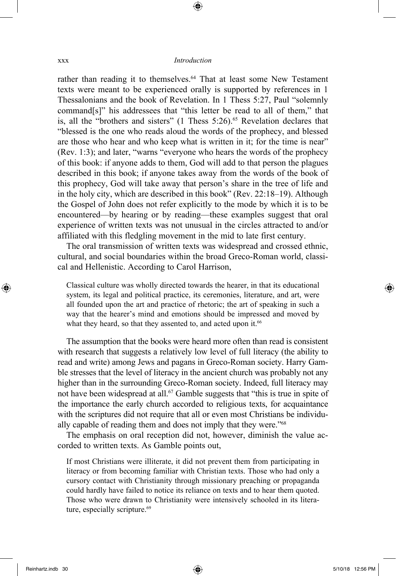### xxx *Introduction*

⊕

rather than reading it to themselves.<sup>64</sup> That at least some New Testament texts were meant to be experienced orally is supported by references in 1 Thessalonians and the book of Revelation. In 1 Thess 5:27, Paul "solemnly command[s]" his addressees that "this letter be read to all of them," that is, all the "brothers and sisters" (1 Thess 5:26).<sup>65</sup> Revelation declares that "blessed is the one who reads aloud the words of the prophecy, and blessed are those who hear and who keep what is written in it; for the time is near" (Rev. 1:3); and later, "warns "everyone who hears the words of the prophecy of this book: if anyone adds to them, God will add to that person the plagues described in this book; if anyone takes away from the words of the book of this prophecy, God will take away that person's share in the tree of life and in the holy city, which are described in this book" (Rev. 22:18–19). Although the Gospel of John does not refer explicitly to the mode by which it is to be encountered—by hearing or by reading—these examples suggest that oral experience of written texts was not unusual in the circles attracted to and/or affiliated with this fledgling movement in the mid to late first century.

The oral transmission of written texts was widespread and crossed ethnic, cultural, and social boundaries within the broad Greco-Roman world, classical and Hellenistic. According to Carol Harrison,

Classical culture was wholly directed towards the hearer, in that its educational system, its legal and political practice, its ceremonies, literature, and art, were all founded upon the art and practice of rhetoric; the art of speaking in such a way that the hearer's mind and emotions should be impressed and moved by what they heard, so that they assented to, and acted upon it.<sup>66</sup>

The assumption that the books were heard more often than read is consistent with research that suggests a relatively low level of full literacy (the ability to read and write) among Jews and pagans in Greco-Roman society. Harry Gamble stresses that the level of literacy in the ancient church was probably not any higher than in the surrounding Greco-Roman society. Indeed, full literacy may not have been widespread at all.<sup>67</sup> Gamble suggests that "this is true in spite of the importance the early church accorded to religious texts, for acquaintance with the scriptures did not require that all or even most Christians be individually capable of reading them and does not imply that they were."68

The emphasis on oral reception did not, however, diminish the value accorded to written texts. As Gamble points out,

If most Christians were illiterate, it did not prevent them from participating in literacy or from becoming familiar with Christian texts. Those who had only a cursory contact with Christianity through missionary preaching or propaganda could hardly have failed to notice its reliance on texts and to hear them quoted. Those who were drawn to Christianity were intensively schooled in its literature, especially scripture.<sup>69</sup>

⊕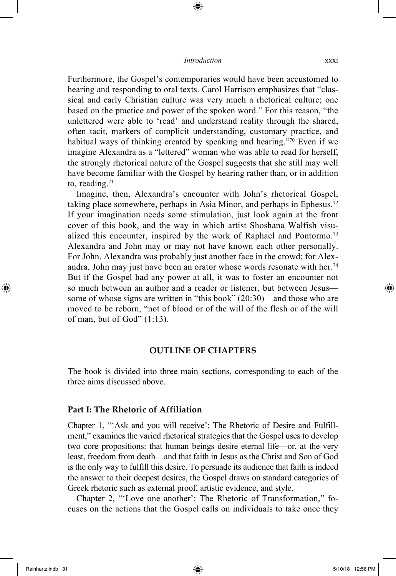#### *Introduction* xxxi

⊕

Furthermore, the Gospel's contemporaries would have been accustomed to hearing and responding to oral texts. Carol Harrison emphasizes that "classical and early Christian culture was very much a rhetorical culture; one based on the practice and power of the spoken word." For this reason, "the unlettered were able to 'read' and understand reality through the shared, often tacit, markers of complicit understanding, customary practice, and habitual ways of thinking created by speaking and hearing."70 Even if we imagine Alexandra as a "lettered" woman who was able to read for herself, the strongly rhetorical nature of the Gospel suggests that she still may well have become familiar with the Gospel by hearing rather than, or in addition to, reading. $71$ 

Imagine, then, Alexandra's encounter with John's rhetorical Gospel, taking place somewhere, perhaps in Asia Minor, and perhaps in Ephesus.72 If your imagination needs some stimulation, just look again at the front cover of this book, and the way in which artist Shoshana Walfish visualized this encounter, inspired by the work of Raphael and Pontormo.<sup>73</sup> Alexandra and John may or may not have known each other personally. For John, Alexandra was probably just another face in the crowd; for Alexandra, John may just have been an orator whose words resonate with her.<sup>74</sup> But if the Gospel had any power at all, it was to foster an encounter not so much between an author and a reader or listener, but between Jesus some of whose signs are written in "this book" (20:30)—and those who are moved to be reborn, "not of blood or of the will of the flesh or of the will of man, but of  $God" (1:13)$ .

# **OUTLINE OF CHAPTERS**

The book is divided into three main sections, corresponding to each of the three aims discussed above.

# **Part I: The Rhetoric of Affiliation**

Chapter 1, "'Ask and you will receive': The Rhetoric of Desire and Fulfillment," examines the varied rhetorical strategies that the Gospel uses to develop two core propositions: that human beings desire eternal life—or, at the very least, freedom from death—and that faith in Jesus as the Christ and Son of God is the only way to fulfill this desire. To persuade its audience that faith is indeed the answer to their deepest desires, the Gospel draws on standard categories of Greek rhetoric such as external proof, artistic evidence, and style.

Chapter 2, "'Love one another': The Rhetoric of Transformation," focuses on the actions that the Gospel calls on individuals to take once they

⊕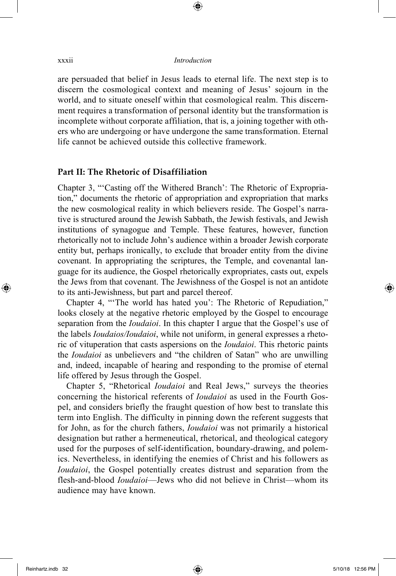### xxxii *Introduction*

⊕

are persuaded that belief in Jesus leads to eternal life. The next step is to discern the cosmological context and meaning of Jesus' sojourn in the world, and to situate oneself within that cosmological realm. This discernment requires a transformation of personal identity but the transformation is incomplete without corporate affiliation, that is, a joining together with others who are undergoing or have undergone the same transformation. Eternal life cannot be achieved outside this collective framework.

# **Part II: The Rhetoric of Disaffiliation**

Chapter 3, "'Casting off the Withered Branch': The Rhetoric of Expropriation," documents the rhetoric of appropriation and expropriation that marks the new cosmological reality in which believers reside. The Gospel's narrative is structured around the Jewish Sabbath, the Jewish festivals, and Jewish institutions of synagogue and Temple. These features, however, function rhetorically not to include John's audience within a broader Jewish corporate entity but, perhaps ironically, to exclude that broader entity from the divine covenant. In appropriating the scriptures, the Temple, and covenantal language for its audience, the Gospel rhetorically expropriates, casts out, expels the Jews from that covenant. The Jewishness of the Gospel is not an antidote to its anti-Jewishness, but part and parcel thereof.

Chapter 4, "'The world has hated you': The Rhetoric of Repudiation," looks closely at the negative rhetoric employed by the Gospel to encourage separation from the *Ioudaioi*. In this chapter I argue that the Gospel's use of the labels *Ioudaios/Ioudaioi*, while not uniform, in general expresses a rhetoric of vituperation that casts aspersions on the *Ioudaioi*. This rhetoric paints the *Ioudaioi* as unbelievers and "the children of Satan" who are unwilling and, indeed, incapable of hearing and responding to the promise of eternal life offered by Jesus through the Gospel.

Chapter 5, "Rhetorical *Ioudaioi* and Real Jews," surveys the theories concerning the historical referents of *Ioudaioi* as used in the Fourth Gospel, and considers briefly the fraught question of how best to translate this term into English. The difficulty in pinning down the referent suggests that for John, as for the church fathers, *Ioudaioi* was not primarily a historical designation but rather a hermeneutical, rhetorical, and theological category used for the purposes of self-identification, boundary-drawing, and polemics. Nevertheless, in identifying the enemies of Christ and his followers as *Ioudaioi*, the Gospel potentially creates distrust and separation from the flesh-and-blood *Ioudaioi*—Jews who did not believe in Christ—whom its audience may have known.

⊕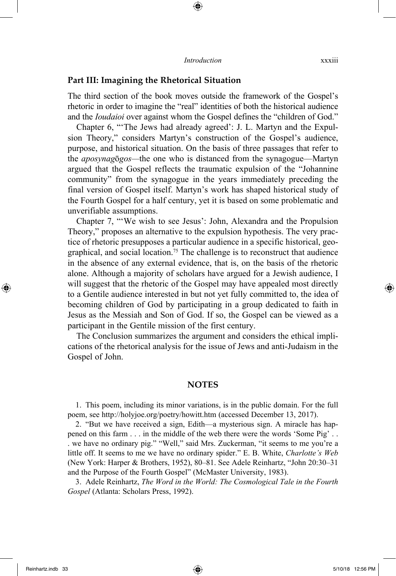⊕

# **Part III: Imagining the Rhetorical Situation**

The third section of the book moves outside the framework of the Gospel's rhetoric in order to imagine the "real" identities of both the historical audience and the *Ioudaioi* over against whom the Gospel defines the "children of God."

Chapter 6, "'The Jews had already agreed': J. L. Martyn and the Expulsion Theory," considers Martyn's construction of the Gospel's audience, purpose, and historical situation. On the basis of three passages that refer to the *aposynag*ō*gos—*the one who is distanced from the synagogue—Martyn argued that the Gospel reflects the traumatic expulsion of the "Johannine community" from the synagogue in the years immediately preceding the final version of Gospel itself. Martyn's work has shaped historical study of the Fourth Gospel for a half century, yet it is based on some problematic and unverifiable assumptions.

Chapter 7, "'We wish to see Jesus': John, Alexandra and the Propulsion Theory," proposes an alternative to the expulsion hypothesis. The very practice of rhetoric presupposes a particular audience in a specific historical, geographical, and social location.<sup>75</sup> The challenge is to reconstruct that audience in the absence of any external evidence, that is, on the basis of the rhetoric alone. Although a majority of scholars have argued for a Jewish audience, I will suggest that the rhetoric of the Gospel may have appealed most directly to a Gentile audience interested in but not yet fully committed to, the idea of becoming children of God by participating in a group dedicated to faith in Jesus as the Messiah and Son of God. If so, the Gospel can be viewed as a participant in the Gentile mission of the first century.

The Conclusion summarizes the argument and considers the ethical implications of the rhetorical analysis for the issue of Jews and anti-Judaism in the Gospel of John.

### **NOTES**

1. This poem, including its minor variations, is in the public domain. For the full poem, see http://holyjoe.org/poetry/howitt.htm (accessed December 13, 2017).

2. "But we have received a sign, Edith—a mysterious sign. A miracle has happened on this farm . . . in the middle of the web there were the words 'Some Pig' . . . we have no ordinary pig." "Well," said Mrs. Zuckerman, "it seems to me you're a little off. It seems to me we have no ordinary spider." E. B. White, *Charlotte's Web* (New York: Harper & Brothers, 1952), 80–81. See Adele Reinhartz, "John 20:30–31 and the Purpose of the Fourth Gospel" (McMaster University, 1983).

3. Adele Reinhartz, *The Word in the World: The Cosmological Tale in the Fourth Gospel* (Atlanta: Scholars Press, 1992).

⊕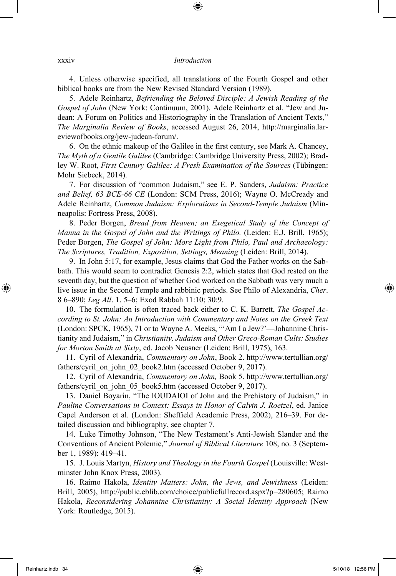#### xxxiv *Introduction*

4. Unless otherwise specified, all translations of the Fourth Gospel and other biblical books are from the New Revised Standard Version (1989).

5. Adele Reinhartz, *Befriending the Beloved Disciple: A Jewish Reading of the Gospel of John* (New York: Continuum, 2001). Adele Reinhartz et al. "Jew and Judean: A Forum on Politics and Historiography in the Translation of Ancient Texts," *The Marginalia Review of Books*, accessed August 26, 2014, http://marginalia.lareviewofbooks.org/jew-judean-forum/.

6. On the ethnic makeup of the Galilee in the first century, see Mark A. Chancey, *The Myth of a Gentile Galilee* (Cambridge: Cambridge University Press, 2002); Bradley W. Root, *First Century Galilee: A Fresh Examination of the Sources* (Tübingen: Mohr Siebeck, 2014).

7. For discussion of "common Judaism," see E. P. Sanders, *Judaism: Practice and Belief, 63 BCE-66 CE* (London: SCM Press, 2016); Wayne O. McCready and Adele Reinhartz, *Common Judaism: Explorations in Second-Temple Judaism* (Minneapolis: Fortress Press, 2008).

8. Peder Borgen, *Bread from Heaven; an Exegetical Study of the Concept of Manna in the Gospel of John and the Writings of Philo.* (Leiden: E.J. Brill, 1965); Peder Borgen, *The Gospel of John: More Light from Philo, Paul and Archaeology: The Scriptures, Tradition, Exposition, Settings, Meaning* (Leiden: Brill, 2014).

9. In John 5:17, for example, Jesus claims that God the Father works on the Sabbath. This would seem to contradict Genesis 2:2, which states that God rested on the seventh day, but the question of whether God worked on the Sabbath was very much a live issue in the Second Temple and rabbinic periods. See Philo of Alexandria, *Cher*. 8 6–890; *Leg All*. 1. 5–6; Exod Rabbah 11:10; 30:9.

10. The formulation is often traced back either to C. K. Barrett, *The Gospel According to St. John: An Introduction with Commentary and Notes on the Greek Text* (London: SPCK, 1965), 71 or to Wayne A. Meeks, "'Am I a Jew?'—Johannine Christianity and Judaism," in *Christianity, Judaism and Other Greco-Roman Cults: Studies for Morton Smith at Sixty*, ed. Jacob Neusner (Leiden: Brill, 1975), 163.

11. Cyril of Alexandria, *Commentary on John*, Book 2. http://www.tertullian.org/ fathers/cyril\_on\_john\_02\_book2.htm (accessed October 9, 2017).

12. Cyril of Alexandria, *Commentary on John,* Book 5. http://www.tertullian.org/ fathers/cyril\_on\_john\_05\_book5.htm (accessed October 9, 2017).

13. Daniel Boyarin, "The IOUDAIOI of John and the Prehistory of Judaism," in *Pauline Conversations in Context: Essays in Honor of Calvin J. Roetzel*, ed. Janice Capel Anderson et al. (London: Sheffield Academic Press, 2002), 216–39. For detailed discussion and bibliography, see chapter 7.

14. Luke Timothy Johnson, "The New Testament's Anti-Jewish Slander and the Conventions of Ancient Polemic," *Journal of Biblical Literature* 108, no. 3 (September 1, 1989): 419–41.

15. J. Louis Martyn, *History and Theology in the Fourth Gospel* (Louisville: Westminster John Knox Press, 2003).

16. Raimo Hakola, *Identity Matters: John, the Jews, and Jewishness* (Leiden: Brill, 2005), http://public.eblib.com/choice/publicfullrecord.aspx?p=280605; Raimo Hakola, *Reconsidering Johannine Christianity: A Social Identity Approach* (New York: Routledge, 2015).

⊕

↔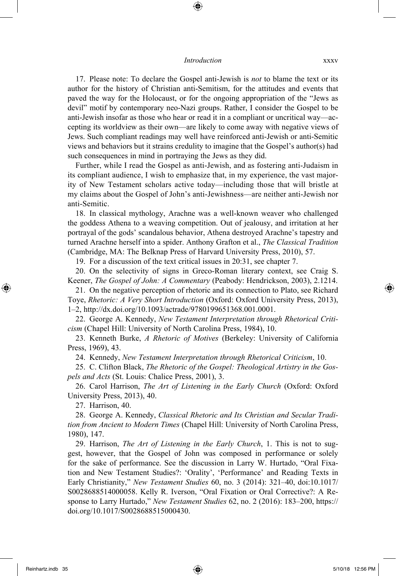#### *Introduction* xxxv

⊕

17. Please note: To declare the Gospel anti-Jewish is *not* to blame the text or its author for the history of Christian anti-Semitism, for the attitudes and events that paved the way for the Holocaust, or for the ongoing appropriation of the "Jews as devil" motif by contemporary neo-Nazi groups. Rather, I consider the Gospel to be anti-Jewish insofar as those who hear or read it in a compliant or uncritical way—accepting its worldview as their own—are likely to come away with negative views of Jews. Such compliant readings may well have reinforced anti-Jewish or anti-Semitic views and behaviors but it strains credulity to imagine that the Gospel's author(s) had such consequences in mind in portraying the Jews as they did.

Further, while I read the Gospel as anti-Jewish, and as fostering anti-Judaism in its compliant audience, I wish to emphasize that, in my experience, the vast majority of New Testament scholars active today—including those that will bristle at my claims about the Gospel of John's anti-Jewishness—are neither anti-Jewish nor anti-Semitic.

18. In classical mythology, Arachne was a well-known weaver who challenged the goddess Athena to a weaving competition. Out of jealousy, and irritation at her portrayal of the gods' scandalous behavior, Athena destroyed Arachne's tapestry and turned Arachne herself into a spider. Anthony Grafton et al., *The Classical Tradition* (Cambridge, MA: The Belknap Press of Harvard University Press, 2010), 57.

19. For a discussion of the text critical issues in 20:31, see chapter 7.

20. On the selectivity of signs in Greco-Roman literary context, see Craig S. Keener, *The Gospel of John: A Commentary* (Peabody: Hendrickson, 2003), 2.1214.

21. On the negative perception of rhetoric and its connection to Plato, see Richard Toye, *Rhetoric: A Very Short Introduction* (Oxford: Oxford University Press, 2013), 1–2, http://dx.doi.org/10.1093/actrade/9780199651368.001.0001.

22. George A. Kennedy, *New Testament Interpretation through Rhetorical Criticism* (Chapel Hill: University of North Carolina Press, 1984), 10.

23. Kenneth Burke, *A Rhetoric of Motives* (Berkeley: University of California Press, 1969), 43.

24. Kennedy, *New Testament Interpretation through Rhetorical Criticism*, 10.

25. C. Clifton Black, *The Rhetoric of the Gospel: Theological Artistry in the Gospels and Acts* (St. Louis: Chalice Press, 2001), 3.

26. Carol Harrison, *The Art of Listening in the Early Church* (Oxford: Oxford University Press, 2013), 40.

27. Harrison, 40.

28. George A. Kennedy, *Classical Rhetoric and Its Christian and Secular Tradition from Ancient to Modern Times* (Chapel Hill: University of North Carolina Press, 1980), 147.

29. Harrison, *The Art of Listening in the Early Church*, 1. This is not to suggest, however, that the Gospel of John was composed in performance or solely for the sake of performance. See the discussion in Larry W. Hurtado, "Oral Fixation and New Testament Studies?: 'Orality', 'Performance' and Reading Texts in Early Christianity," *New Testament Studies* 60, no. 3 (2014): 321–40, doi:10.1017/ S0028688514000058. Kelly R. Iverson, "Oral Fixation or Oral Corrective?: A Response to Larry Hurtado," *New Testament Studies* 62, no. 2 (2016): 183–200, https:// doi.org/10.1017/S0028688515000430.

⊕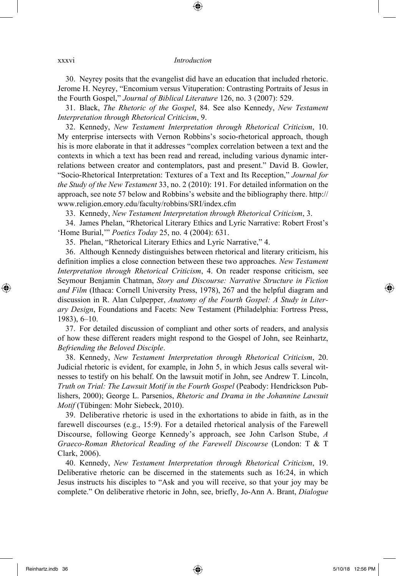#### xxxvi *Introduction*

⊕

30. Neyrey posits that the evangelist did have an education that included rhetoric. Jerome H. Neyrey, "Encomium versus Vituperation: Contrasting Portraits of Jesus in the Fourth Gospel," *Journal of Biblical Literature* 126, no. 3 (2007): 529.

31. Black, *The Rhetoric of the Gospel*, 84. See also Kennedy, *New Testament Interpretation through Rhetorical Criticism*, 9.

32. Kennedy, *New Testament Interpretation through Rhetorical Criticism*, 10. My enterprise intersects with Vernon Robbins's socio-rhetorical approach, though his is more elaborate in that it addresses "complex correlation between a text and the contexts in which a text has been read and reread, including various dynamic interrelations between creator and contemplators, past and present." David B. Gowler, "Socio-Rhetorical Interpretation: Textures of a Text and Its Reception," *Journal for the Study of the New Testament* 33, no. 2 (2010): 191. For detailed information on the approach, see note 57 below and Robbins's website and the bibliography there. http:// www.religion.emory.edu/faculty/robbins/SRI/index.cfm

33. Kennedy, *New Testament Interpretation through Rhetorical Criticism*, 3.

34. James Phelan, "Rhetorical Literary Ethics and Lyric Narrative: Robert Frost's 'Home Burial,'" *Poetics Today* 25, no. 4 (2004): 631.

35. Phelan, "Rhetorical Literary Ethics and Lyric Narrative," 4.

36. Although Kennedy distinguishes between rhetorical and literary criticism, his definition implies a close connection between these two approaches. *New Testament Interpretation through Rhetorical Criticism*, 4. On reader response criticism, see Seymour Benjamin Chatman, *Story and Discourse: Narrative Structure in Fiction and Film* (Ithaca: Cornell University Press, 1978), 267 and the helpful diagram and discussion in R. Alan Culpepper, *Anatomy of the Fourth Gospel: A Study in Literary Design*, Foundations and Facets: New Testament (Philadelphia: Fortress Press, 1983), 6–10.

37. For detailed discussion of compliant and other sorts of readers, and analysis of how these different readers might respond to the Gospel of John, see Reinhartz, *Befriending the Beloved Disciple*.

38. Kennedy, *New Testament Interpretation through Rhetorical Criticism*, 20. Judicial rhetoric is evident, for example, in John 5, in which Jesus calls several witnesses to testify on his behalf. On the lawsuit motif in John, see Andrew T. Lincoln, *Truth on Trial: The Lawsuit Motif in the Fourth Gospel* (Peabody: Hendrickson Publishers, 2000); George L. Parsenios, *Rhetoric and Drama in the Johannine Lawsuit Motif* (Tübingen: Mohr Siebeck, 2010).

39. Deliberative rhetoric is used in the exhortations to abide in faith, as in the farewell discourses (e.g., 15:9). For a detailed rhetorical analysis of the Farewell Discourse, following George Kennedy's approach, see John Carlson Stube, *A Graeco-Roman Rhetorical Reading of the Farewell Discourse* (London: T & T Clark, 2006).

40. Kennedy, *New Testament Interpretation through Rhetorical Criticism*, 19. Deliberative rhetoric can be discerned in the statements such as 16:24, in which Jesus instructs his disciples to "Ask and you will receive, so that your joy may be complete." On deliberative rhetoric in John, see, briefly, Jo-Ann A. Brant, *Dialogue* 

⊕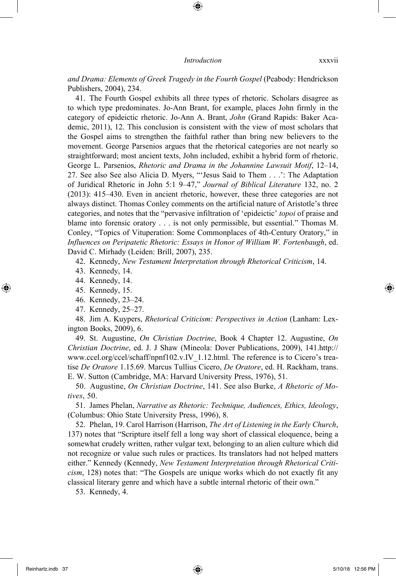#### *Introduction* xxxvii

⊕

*and Drama: Elements of Greek Tragedy in the Fourth Gospel* (Peabody: Hendrickson Publishers, 2004), 234.

41. The Fourth Gospel exhibits all three types of rhetoric. Scholars disagree as to which type predominates. Jo-Ann Brant, for example, places John firmly in the category of epideictic rhetoric. Jo-Ann A. Brant, *John* (Grand Rapids: Baker Academic, 2011), 12. This conclusion is consistent with the view of most scholars that the Gospel aims to strengthen the faithful rather than bring new believers to the movement. George Parsenios argues that the rhetorical categories are not nearly so straightforward; most ancient texts, John included, exhibit a hybrid form of rhetoric. George L. Parsenios, *Rhetoric and Drama in the Johannine Lawsuit Motif*, 12–14, 27. See also See also Alicia D. Myers, "'Jesus Said to Them . . .': The Adaptation of Juridical Rhetoric in John 5:1 9–47," *Journal of Biblical Literature* 132, no. 2 (2013): 415–430. Even in ancient rhetoric, however, these three categories are not always distinct. Thomas Conley comments on the artificial nature of Aristotle's three categories, and notes that the "pervasive infiltration of 'epideictic' *topoi* of praise and blame into forensic oratory . . . is not only permissible, but essential." Thomas M. Conley, "Topics of Vituperation: Some Commonplaces of 4th-Century Oratory," in *Influences on Peripatetic Rhetoric: Essays in Honor of William W. Fortenbaugh*, ed. David C. Mirhady (Leiden: Brill, 2007), 235.

42. Kennedy, *New Testament Interpretation through Rhetorical Criticism*, 14.

43. Kennedy, 14.

44. Kennedy, 14.

45. Kennedy, 15.

46. Kennedy, 23–24.

47. Kennedy, 25–27.

48. Jim A. Kuypers, *Rhetorical Criticism: Perspectives in Action* (Lanham: Lexington Books, 2009), 6.

49. St. Augustine, *On Christian Doctrine*, Book 4 Chapter 12. Augustine, *On Christian Doctrine*, ed. J. J Shaw (Mineola: Dover Publications, 2009), 141.http:// www.ccel.org/ccel/schaff/npnf102.v.IV 1.12.html. The reference is to Cicero's treatise *De Oratore* 1.15.69. Marcus Tullius Cicero, *De Oratore*, ed. H. Rackham, trans. E. W. Sutton (Cambridge, MA: Harvard University Press, 1976), 51.

50. Augustine, *On Christian Doctrine*, 141. See also Burke, *A Rhetoric of Motives*, 50.

51. James Phelan, *Narrative as Rhetoric: Technique, Audiences, Ethics, Ideology*, (Columbus: Ohio State University Press, 1996), 8.

52. Phelan, 19. Carol Harrison (Harrison, *The Art of Listening in the Early Church*, 137) notes that "Scripture itself fell a long way short of classical eloquence, being a somewhat crudely written, rather vulgar text, belonging to an alien culture which did not recognize or value such rules or practices. Its translators had not helped matters either." Kennedy (Kennedy, *New Testament Interpretation through Rhetorical Criticism*, 128) notes that: "The Gospels are unique works which do not exactly fit any classical literary genre and which have a subtle internal rhetoric of their own."

53. Kennedy, 4.

⊕

↔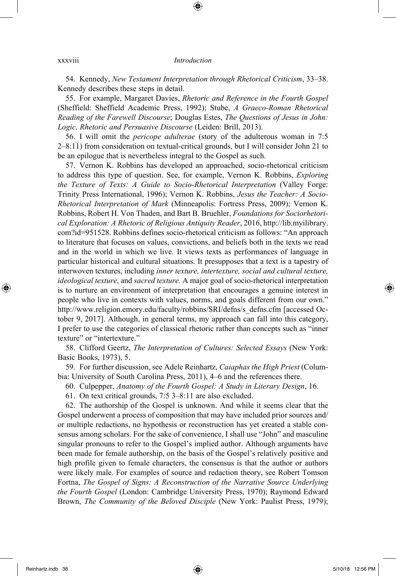#### xxxviii *Introduction*

⊕

54. Kennedy, *New Testament Interpretation through Rhetorical Criticism*, 33–38. Kennedy describes these steps in detail.

55. For example, Margaret Davies, *Rhetoric and Reference in the Fourth Gospel* (Sheffield: Sheffield Academic Press, 1992); Stube, *A Graeco-Roman Rhetorical Reading of the Farewell Discourse*; Douglas Estes, *The Questions of Jesus in John: Logic, Rhetoric and Persuasive Discourse* (Leiden: Brill, 2013).

56. I will omit the *pericope adulterae* (story of the adulterous woman in 7:5 2–8:11) from consideration on textual-critical grounds, but I will consider John 21 to be an epilogue that is nevertheless integral to the Gospel as such.

57. Vernon K. Robbins has developed an approached, socio-rhetorical criticism to address this type of question. See, for example, Vernon K. Robbins, *Exploring the Texture of Texts: A Guide to Socio-Rhetorical Interpretation* (Valley Forge: Trinity Press International, 1996); Vernon K. Robbins, *Jesus the Teacher: A Socio-Rhetorical Interpretation of Mark* (Minneapolis: Fortress Press, 2009); Vernon K. Robbins, Robert H. Von Thaden, and Bart B. Bruehler, *Foundations for Sociorhetorical Exploration: A Rhetoric of Religious Antiquity Reader*, 2016, http://lib.myilibrary. com?id=951528. Robbins defines socio-rhetorical criticism as follows: "An approach to literature that focuses on values, convictions, and beliefs both in the texts we read and in the world in which we live. It views texts as performances of language in particular historical and cultural situations. It presupposes that a text is a tapestry of interwoven textures, including *inner texture, intertexture, social and cultural texture, ideological texture*, and *sacred texture.* A major goal of socio-rhetorical interpretation is to nurture an environment of interpretation that encourages a genuine interest in people who live in contexts with values, norms, and goals different from our own." http://www.religion.emory.edu/faculty/robbins/SRI/defns/s\_defns.cfm [accessed October 9, 2017]. Although, in general terms, my approach can fall into this category, I prefer to use the categories of classical rhetoric rather than concepts such as "inner texture" or "intertexture."

58. Clifford Geertz, *The Interpretation of Cultures: Selected Essays* (New York: Basic Books, 1973), 5.

59. For further discussion, see Adele Reinhartz, *Caiaphas the High Priest* (Columbia: University of South Carolina Press, 2011), 4–6 and the references there.

60. Culpepper, *Anatomy of the Fourth Gospel: A Study in Literary Design*, 16.

61. On text critical grounds, 7:5 3–8:11 are also excluded.

62. The authorship of the Gospel is unknown. And while it seems clear that the Gospel underwent a process of composition that may have included prior sources and/ or multiple redactions, no hypothesis or reconstruction has yet created a stable consensus among scholars. For the sake of convenience, I shall use "John" and masculine singular pronouns to refer to the Gospel's implied author. Although arguments have been made for female authorship, on the basis of the Gospel's relatively positive and high profile given to female characters, the consensus is that the author or authors were likely male. For examples of source and redaction theory, see Robert Tomson Fortna, *The Gospel of Signs: A Reconstruction of the Narrative Source Underlying the Fourth Gospel* (London: Cambridge University Press, 1970); Raymond Edward Brown, *The Community of the Beloved Disciple* (New York: Paulist Press, 1979);

⊕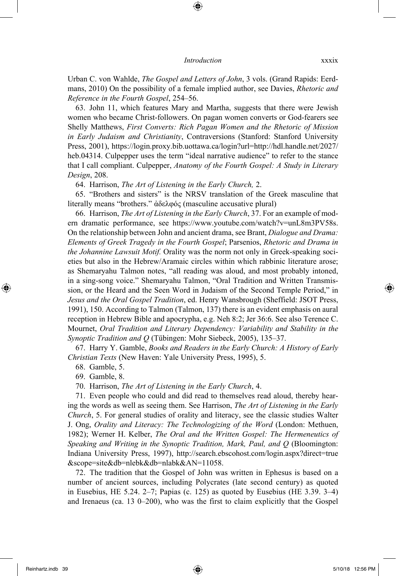#### *Introduction* xxxix

⊕

63. John 11, which features Mary and Martha, suggests that there were Jewish women who became Christ-followers. On pagan women converts or God-fearers see Shelly Matthews, *First Converts: Rich Pagan Women and the Rhetoric of Mission in Early Judaism and Christianity*, Contraversions (Stanford: Stanford University Press, 2001), https://login.proxy.bib.uottawa.ca/login?url=http://hdl.handle.net/2027/ heb.04314. Culpepper uses the term "ideal narrative audience" to refer to the stance that I call compliant. Culpepper, *Anatomy of the Fourth Gospel: A Study in Literary Design*, 208.

64. Harrison, *The Art of Listening in the Early Church,* 2.

65. "Brothers and sisters" is the NRSV translation of the Greek masculine that literally means "brothers." ἀδελφός (masculine accusative plural)

66. Harrison, *The Art of Listening in the Early Church*, 37. For an example of modern dramatic performance, see https://www.youtube.com/watch?v=unL8m3PV58s. On the relationship between John and ancient drama, see Brant, *Dialogue and Drama: Elements of Greek Tragedy in the Fourth Gospel*; Parsenios, *Rhetoric and Drama in the Johannine Lawsuit Motif.* Orality was the norm not only in Greek-speaking societies but also in the Hebrew/Aramaic circles within which rabbinic literature arose; as Shemaryahu Talmon notes, "all reading was aloud, and most probably intoned, in a sing-song voice." Shemaryahu Talmon, "Oral Tradition and Written Transmission, or the Heard and the Seen Word in Judaism of the Second Temple Period," in *Jesus and the Oral Gospel Tradition*, ed. Henry Wansbrough (Sheffield: JSOT Press, 1991), 150. According to Talmon (Talmon, 137) there is an evident emphasis on aural reception in Hebrew Bible and apocrypha, e.g. Neh 8:2; Jer 36:6. See also Terence C. Mournet, *Oral Tradition and Literary Dependency: Variability and Stability in the Synoptic Tradition and Q* (Tübingen: Mohr Siebeck, 2005), 135–37.

67. Harry Y. Gamble, *Books and Readers in the Early Church: A History of Early Christian Texts* (New Haven: Yale University Press, 1995), 5.

68. Gamble, 5.

69. Gamble, 8.

70. Harrison, *The Art of Listening in the Early Church*, 4.

71. Even people who could and did read to themselves read aloud, thereby hearing the words as well as seeing them. See Harrison, *The Art of Listening in the Early Church*, 5. For general studies of orality and literacy, see the classic studies Walter J. Ong, *Orality and Literacy: The Technologizing of the Word* (London: Methuen, 1982); Werner H. Kelber, *The Oral and the Written Gospel: The Hermeneutics of Speaking and Writing in the Synoptic Tradition, Mark, Paul, and Q* (Bloomington: Indiana University Press, 1997), http://search.ebscohost.com/login.aspx?direct=true &scope=site&db=nlebk&db=nlabk&AN=11058.

72. The tradition that the Gospel of John was written in Ephesus is based on a number of ancient sources, including Polycrates (late second century) as quoted in Eusebius, HE 5.24. 2–7; Papias (c. 125) as quoted by Eusebius (HE 3.39. 3–4) and Irenaeus (ca. 13 0–200), who was the first to claim explicitly that the Gospel

⊕